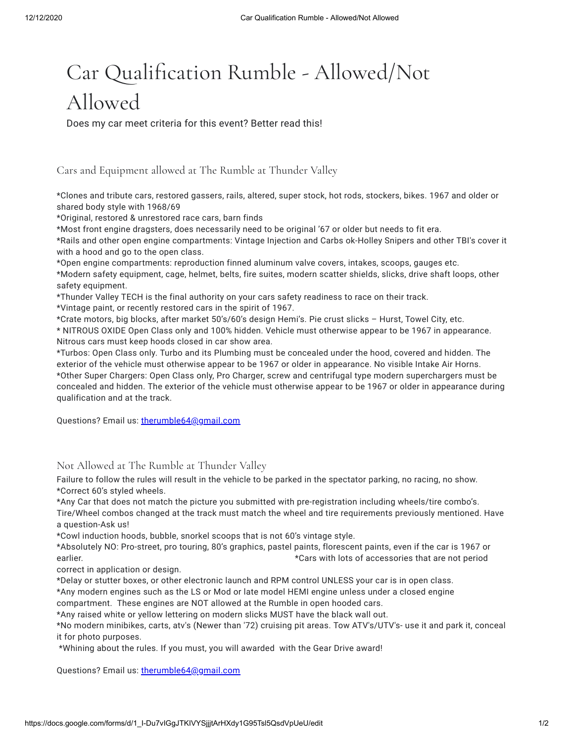## Car Qualification Rumble - Allowed/Not Allowed

Does my car meet criteria for this event? Better read this!

Cars and Equipment allowed at The Rumble at Thunder Valley

\*Clones and tribute cars, restored gassers, rails, altered, super stock, hot rods, stockers, bikes. 1967 and older or shared body style with 1968/69

\*Original, restored & unrestored race cars, barn finds

\*Most front engine dragsters, does necessarily need to be original '67 or older but needs to fit era.

\*Rails and other open engine compartments: Vintage Injection and Carbs ok-Holley Snipers and other TBI's cover it with a hood and go to the open class.

\*Open engine compartments: reproduction finned aluminum valve covers, intakes, scoops, gauges etc. \*Modern safety equipment, cage, helmet, belts, fire suites, modern scatter shields, slicks, drive shaft loops, other safety equipment.

\*Thunder Valley TECH is the final authority on your cars safety readiness to race on their track.

\*Vintage paint, or recently restored cars in the spirit of 1967.

\*Crate motors, big blocks, after market 50's/60's design Hemi's. Pie crust slicks – Hurst, Towel City, etc.

\* NITROUS OXIDE Open Class only and 100% hidden. Vehicle must otherwise appear to be 1967 in appearance. Nitrous cars must keep hoods closed in car show area.

\*Turbos: Open Class only. Turbo and its Plumbing must be concealed under the hood, covered and hidden. The exterior of the vehicle must otherwise appear to be 1967 or older in appearance. No visible Intake Air Horns. \*Other Super Chargers: Open Class only, Pro Charger, screw and centrifugal type modern superchargers must be concealed and hidden. The exterior of the vehicle must otherwise appear to be 1967 or older in appearance during qualification and at the track.

Questions? Email us: [therumble64@gmail.com](mailto:therumble64@gmail.com)

## Not Allowed at The Rumble at Thunder Valley

Failure to follow the rules will result in the vehicle to be parked in the spectator parking, no racing, no show. \*Correct 60's styled wheels.

\*Any Car that does not match the picture you submitted with pre-registration including wheels/tire combo's. Tire/Wheel combos changed at the track must match the wheel and tire requirements previously mentioned. Have a question-Ask us!

\*Cowl induction hoods, bubble, snorkel scoops that is not 60's vintage style.

\*Absolutely NO: Pro-street, pro touring, 80's graphics, pastel paints, florescent paints, even if the car is 1967 or earlier. **A constructed a constructed as a constructed and set of accessories that are not period**  $\star$ Cars with lots of accessories that are not period

correct in application or design.

\*Delay or stutter boxes, or other electronic launch and RPM control UNLESS your car is in open class.

\*Any modern engines such as the LS or Mod or late model HEMI engine unless under a closed engine

compartment. These engines are NOT allowed at the Rumble in open hooded cars.

\*Any raised white or yellow lettering on modern slicks MUST have the black wall out.

\*No modern minibikes, carts, atv's (Newer than '72) cruising pit areas. Tow ATV's/UTV's- use it and park it, conceal it for photo purposes.

\*Whining about the rules. If you must, you will awarded with the Gear Drive award!

Questions? Email us: [therumble64@gmail.com](mailto:therumble64@gmail.com)